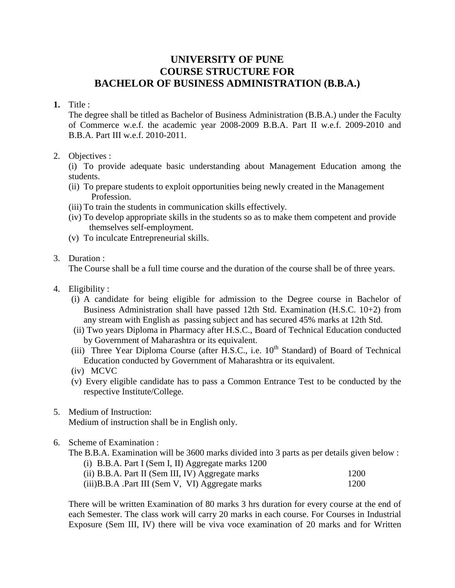### **UNIVERSITY OF PUNE COURSE STRUCTURE FOR BACHELOR OF BUSINESS ADMINISTRATION (B.B.A.)**

**1.** Title :

 The degree shall be titled as Bachelor of Business Administration (B.B.A.) under the Faculty of Commerce w.e.f. the academic year 2008-2009 B.B.A. Part II w.e.f. 2009-2010 and B.B.A. Part III w.e.f. 2010-2011.

2. Objectives :

 (i) To provide adequate basic understanding about Management Education among the students.

- (ii) To prepare students to exploit opportunities being newly created in the Management Profession.
- (iii) To train the students in communication skills effectively.
- (iv) To develop appropriate skills in the students so as to make them competent and provide themselves self-employment.
- (v) To inculcate Entrepreneurial skills.
- 3. Duration :

The Course shall be a full time course and the duration of the course shall be of three years.

- 4. Eligibility :
	- (i) A candidate for being eligible for admission to the Degree course in Bachelor of Business Administration shall have passed 12th Std. Examination (H.S.C. 10+2) from any stream with English as passing subject and has secured 45% marks at 12th Std.
	- (ii) Two years Diploma in Pharmacy after H.S.C., Board of Technical Education conducted by Government of Maharashtra or its equivalent.
	- (iii) Three Year Diploma Course (after H.S.C., i.e.  $10^{th}$  Standard) of Board of Technical Education conducted by Government of Maharashtra or its equivalent.
	- (iv) MCVC
	- (v) Every eligible candidate has to pass a Common Entrance Test to be conducted by the respective Institute/College.
- 5. Medium of Instruction:

Medium of instruction shall be in English only.

6. Scheme of Examination :

The B.B.A. Examination will be 3600 marks divided into 3 parts as per details given below :

 (i) B.B.A. Part I (Sem I, II) Aggregate marks 1200  $(iii)$  B.B.A. Part II (Sem III, IV) Aggregate marks 1200

| (11) B.B.A. Part II (Sem III, IV) Aggregate marks | I ZUU |
|---------------------------------------------------|-------|
| (iii)B.B.A .Part III (Sem V, VI) Aggregate marks  | 1200  |

 There will be written Examination of 80 marks 3 hrs duration for every course at the end of each Semester. The class work will carry 20 marks in each course. For Courses in Industrial Exposure (Sem III, IV) there will be viva voce examination of 20 marks and for Written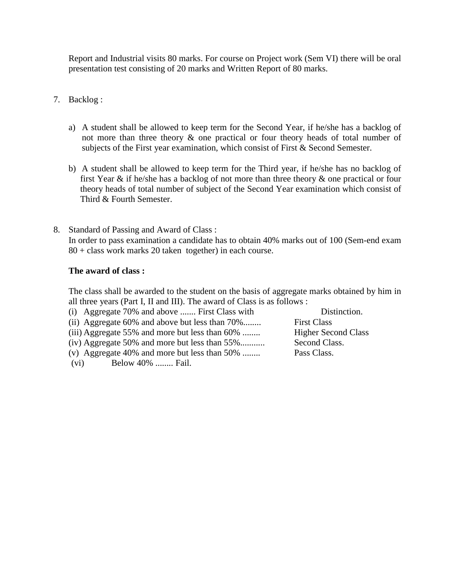Report and Industrial visits 80 marks. For course on Project work (Sem VI) there will be oral presentation test consisting of 20 marks and Written Report of 80 marks.

### 7. Backlog :

- a) A student shall be allowed to keep term for the Second Year, if he/she has a backlog of not more than three theory & one practical or four theory heads of total number of subjects of the First year examination, which consist of First  $\&$  Second Semester.
- b) A student shall be allowed to keep term for the Third year, if he/she has no backlog of first Year & if he/she has a backlog of not more than three theory & one practical or four theory heads of total number of subject of the Second Year examination which consist of Third & Fourth Semester.
- 8. Standard of Passing and Award of Class : In order to pass examination a candidate has to obtain 40% marks out of 100 (Sem-end exam 80 + class work marks 20 taken together) in each course.

### **The award of class :**

 The class shall be awarded to the student on the basis of aggregate marks obtained by him in all three years (Part I, II and III). The award of Class is as follows :

- (i) Aggregate 70% and above ....... First Class with Distinction.
- (ii) Aggregate 60% and above but less than 70%........ First Class

(iii) Aggregate 55% and more but less than 60% ........ Higher Second Class

- (iv) Aggregate 50% and more but less than 55%........... Second Class.
- (v) Aggregate 40% and more but less than 50% ........ Pass Class.
- (vi) Below 40% ........ Fail.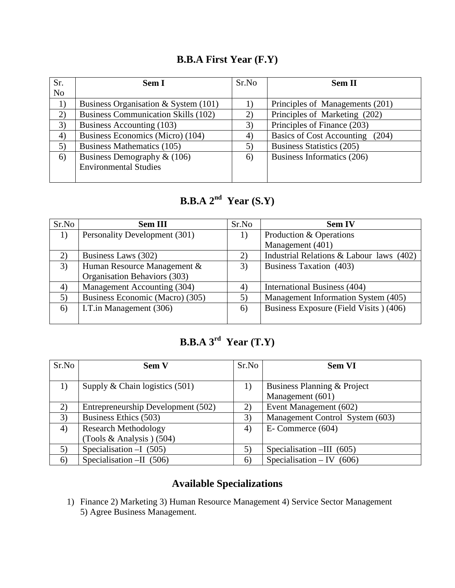# **B.B.A First Year (F.Y)**

| Sr.            | <b>Sem I</b>                               | Sr.No | <b>Sem II</b>                   |
|----------------|--------------------------------------------|-------|---------------------------------|
| N <sub>o</sub> |                                            |       |                                 |
| 1)             | Business Organisation & System (101)       |       | Principles of Managements (201) |
| 2)             | <b>Business Communication Skills (102)</b> | 2)    | Principles of Marketing (202)   |
| 3)             | Business Accounting (103)                  | 3)    | Principles of Finance (203)     |
| 4)             | Business Economics (Micro) (104)           | 4)    | Basics of Cost Accounting (204) |
| 5)             | Business Mathematics (105)                 | 5)    | Business Statistics (205)       |
| 6)             | Business Demography $\&$ (106)             | 6)    | Business Informatics (206)      |
|                | <b>Environmental Studies</b>               |       |                                 |
|                |                                            |       |                                 |

# **B.B.A 2nd Year (S.Y)**

| Sr.No             | <b>Sem III</b>                  | Sr.No | <b>Sem IV</b>                            |
|-------------------|---------------------------------|-------|------------------------------------------|
| 1)                | Personality Development (301)   | 1)    | Production & Operations                  |
|                   |                                 |       | Management (401)                         |
| 2)                | Business Laws (302)             | 2)    | Industrial Relations & Labour laws (402) |
| 3)                | Human Resource Management &     | 3)    | Business Taxation (403)                  |
|                   | Organisation Behaviors (303)    |       |                                          |
| $\left( 4\right)$ | Management Accounting (304)     | 4)    | International Business (404)             |
| 5)                | Business Economic (Macro) (305) | 5)    | Management Information System (405)      |
| 6)                | I.T.in Management (306)         | 6)    | Business Exposure (Field Visits) (406)   |
|                   |                                 |       |                                          |

# **B.B.A 3rd Year (T.Y)**

| Sr.No | <b>Sem V</b>                       | Sr.No                        | <b>Sem VI</b>                   |
|-------|------------------------------------|------------------------------|---------------------------------|
|       |                                    |                              |                                 |
| 1)    | Supply & Chain logistics $(501)$   | 1)                           | Business Planning & Project     |
|       |                                    |                              | Management (601)                |
| 2)    | Entrepreneurship Development (502) | 2)                           | Event Management (602)          |
| 3)    | Business Ethics (503)              | 3)                           | Management Control System (603) |
| 4)    | <b>Research Methodology</b>        | $\left( \frac{1}{2} \right)$ | $E$ - Commerce (604)            |
|       | (Tools & Analysis) (504)           |                              |                                 |
| 5)    | Specialisation $-I(505)$           | 5)                           | Specialisation $-HI$ (605)      |
| 6)    | Specialisation $-II$ (506)         | 6)                           | Specialisation – IV $(606)$     |

# **Available Specializations**

1) Finance 2) Marketing 3) Human Resource Management 4) Service Sector Management 5) Agree Business Management.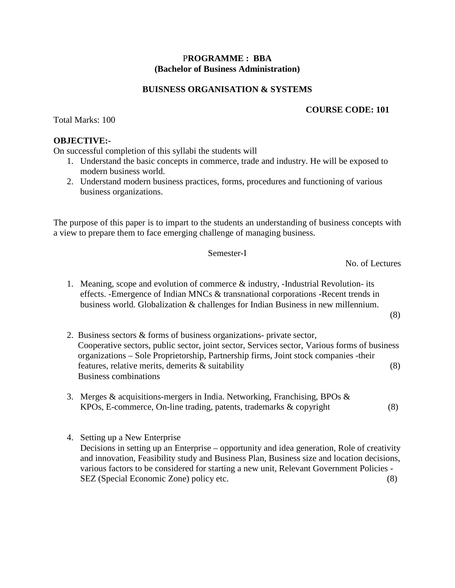### P**ROGRAMME : BBA (Bachelor of Business Administration)**

### **BUISNESS ORGANISATION & SYSTEMS**

### **COURSE CODE: 101**

Total Marks: 100

### **OBJECTIVE:-**

On successful completion of this syllabi the students will

- 1. Understand the basic concepts in commerce, trade and industry. He will be exposed to modern business world.
- 2. Understand modern business practices, forms, procedures and functioning of various business organizations.

The purpose of this paper is to impart to the students an understanding of business concepts with a view to prepare them to face emerging challenge of managing business.

### Semester-I

No. of Lectures

1. Meaning, scope and evolution of commerce & industry, -Industrial Revolution- its effects. -Emergence of Indian MNCs & transnational corporations -Recent trends in business world. Globalization & challenges for Indian Business in new millennium.

(8)

- 2. Business sectors & forms of business organizations- private sector, Cooperative sectors, public sector, joint sector, Services sector, Various forms of business organizations – Sole Proprietorship, Partnership firms, Joint stock companies -their features, relative merits, demerits & suitability (8) Business combinations
- 3. Merges & acquisitions-mergers in India. Networking, Franchising, BPOs & KPOs, E-commerce, On-line trading, patents, trademarks & copyright (8)
- 4. Setting up a New Enterprise Decisions in setting up an Enterprise – opportunity and idea generation, Role of creativity and innovation, Feasibility study and Business Plan, Business size and location decisions, various factors to be considered for starting a new unit, Relevant Government Policies - SEZ (Special Economic Zone) policy etc. (8)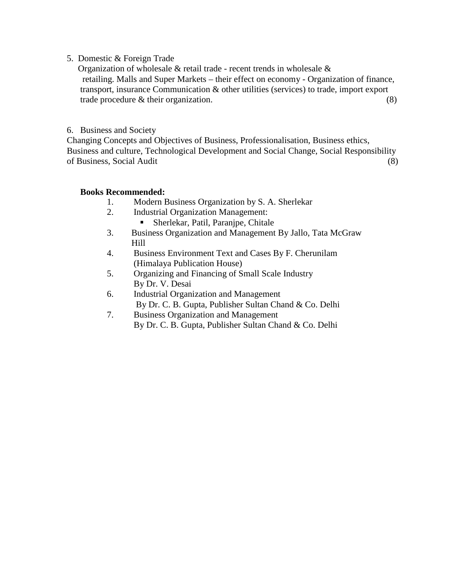5. Domestic & Foreign Trade

 Organization of wholesale & retail trade - recent trends in wholesale & retailing. Malls and Super Markets – their effect on economy - Organization of finance, transport, insurance Communication & other utilities (services) to trade, import export trade procedure  $\&$  their organization. (8)

### 6. Business and Society

Changing Concepts and Objectives of Business, Professionalisation, Business ethics, Business and culture, Technological Development and Social Change, Social Responsibility of Business, Social Audit (8)

### **Books Recommended:**

- 1. Modern Business Organization by S. A. Sherlekar
- 2. Industrial Organization Management:
	- Sherlekar, Patil, Paranjpe, Chitale
- 3. Business Organization and Management By Jallo, Tata McGraw Hill
- 4. Business Environment Text and Cases By F. Cherunilam (Himalaya Publication House)
- 5. Organizing and Financing of Small Scale Industry By Dr. V. Desai
- 6. Industrial Organization and Management By Dr. C. B. Gupta, Publisher Sultan Chand & Co. Delhi
- 7. Business Organization and Management By Dr. C. B. Gupta, Publisher Sultan Chand & Co. Delhi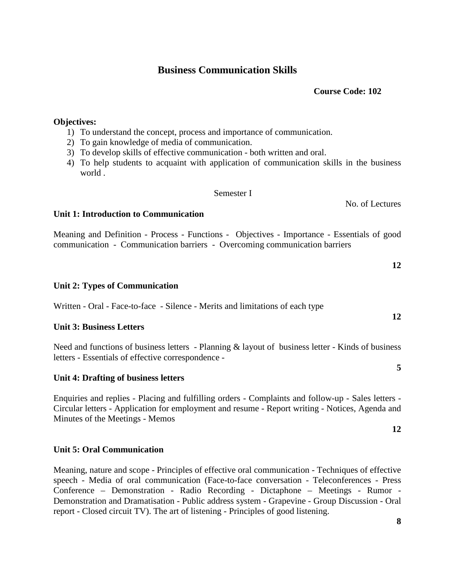### **Business Communication Skills**

### **Course Code: 102**

### **Objectives:**

- 1) To understand the concept, process and importance of communication.
- 2) To gain knowledge of media of communication.
- 3) To develop skills of effective communication both written and oral.
- 4) To help students to acquaint with application of communication skills in the business world .

Semester I

### **Unit 1: Introduction to Communication**

Meaning and Definition - Process - Functions - Objectives - Importance - Essentials of good communication - Communication barriers - Overcoming communication barriers

### **Unit 2: Types of Communication**

Written - Oral - Face-to-face - Silence - Merits and limitations of each type

### **Unit 3: Business Letters**

Need and functions of business letters - Planning & layout of business letter - Kinds of business letters - Essentials of effective correspondence -

 **5** 

### **Unit 4: Drafting of business letters**

Enquiries and replies - Placing and fulfilling orders - Complaints and follow-up - Sales letters - Circular letters - Application for employment and resume - Report writing - Notices, Agenda and Minutes of the Meetings - Memos

### **Unit 5: Oral Communication**

Meaning, nature and scope - Principles of effective oral communication - Techniques of effective speech - Media of oral communication (Face-to-face conversation - Teleconferences - Press Conference – Demonstration - Radio Recording - Dictaphone – Meetings - Rumor - Demonstration and Dramatisation - Public address system - Grapevine - Group Discussion - Oral report - Closed circuit TV). The art of listening - Principles of good listening.

# No. of Lectures

 **12** 

**12** 

**12**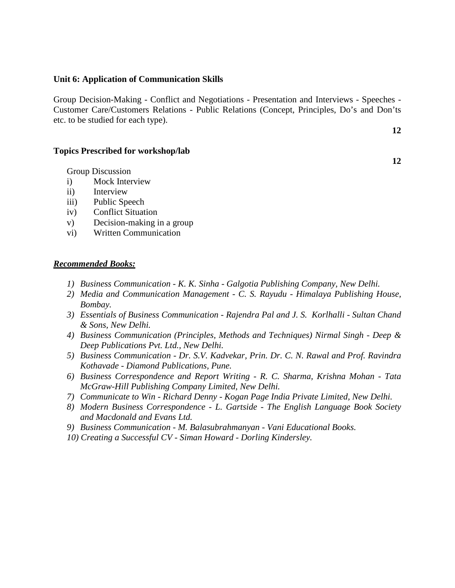### **Unit 6: Application of Communication Skills**

Group Decision-Making - Conflict and Negotiations - Presentation and Interviews - Speeches - Customer Care/Customers Relations - Public Relations (Concept, Principles, Do's and Don'ts etc. to be studied for each type).

### **Topics Prescribed for workshop/lab**

Group Discussion

- i) Mock Interview
- ii) Interview
- iii) Public Speech
- iv) Conflict Situation
- v) Decision-making in a group
- vi) Written Communication

### *Recommended Books:*

- *1) Business Communication K. K. Sinha Galgotia Publishing Company, New Delhi.*
- *2) Media and Communication Management C. S. Rayudu Himalaya Publishing House, Bombay.*
- *3) Essentials of Business Communication Rajendra Pal and J. S. Korlhalli Sultan Chand & Sons, New Delhi.*
- *4) Business Communication (Principles, Methods and Techniques) Nirmal Singh Deep & Deep Publications Pvt. Ltd., New Delhi.*
- *5) Business Communication Dr. S.V. Kadvekar, Prin. Dr. C. N. Rawal and Prof. Ravindra Kothavade - Diamond Publications, Pune.*
- *6) Business Correspondence and Report Writing R. C. Sharma, Krishna Mohan Tata McGraw-Hill Publishing Company Limited, New Delhi.*
- *7) Communicate to Win Richard Denny Kogan Page India Private Limited, New Delhi.*
- *8) Modern Business Correspondence L. Gartside The English Language Book Society and Macdonald and Evans Ltd.*
- *9) Business Communication M. Balasubrahmanyan Vani Educational Books.*
- *10) Creating a Successful CV Siman Howard Dorling Kindersley.*

 **12** 

**12**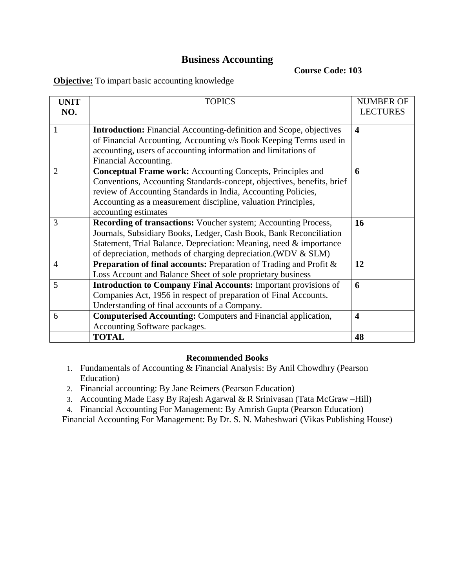### **Business Accounting**

**Course Code: 103** 

**Objective:** To impart basic accounting knowledge

| <b>UNIT</b><br>NO. | <b>TOPICS</b>                                                                | <b>NUMBER OF</b><br><b>LECTURES</b> |
|--------------------|------------------------------------------------------------------------------|-------------------------------------|
|                    |                                                                              |                                     |
| 1                  | <b>Introduction:</b> Financial Accounting-definition and Scope, objectives   | $\blacktriangleleft$                |
|                    | of Financial Accounting, Accounting v/s Book Keeping Terms used in           |                                     |
|                    | accounting, users of accounting information and limitations of               |                                     |
|                    | Financial Accounting.                                                        |                                     |
| $\overline{2}$     | <b>Conceptual Frame work:</b> Accounting Concepts, Principles and            | 6                                   |
|                    | Conventions, Accounting Standards-concept, objectives, benefits, brief       |                                     |
|                    | review of Accounting Standards in India, Accounting Policies,                |                                     |
|                    | Accounting as a measurement discipline, valuation Principles,                |                                     |
|                    | accounting estimates                                                         |                                     |
| 3                  | Recording of transactions: Voucher system; Accounting Process,               | 16                                  |
|                    | Journals, Subsidiary Books, Ledger, Cash Book, Bank Reconciliation           |                                     |
|                    | Statement, Trial Balance. Depreciation: Meaning, need & importance           |                                     |
|                    | of depreciation, methods of charging depreciation. (WDV & SLM)               |                                     |
| $\overline{4}$     | <b>Preparation of final accounts:</b> Preparation of Trading and Profit $\&$ | 12                                  |
|                    | Loss Account and Balance Sheet of sole proprietary business                  |                                     |
| 5                  | <b>Introduction to Company Final Accounts:</b> Important provisions of       | 6                                   |
|                    | Companies Act, 1956 in respect of preparation of Final Accounts.             |                                     |
|                    | Understanding of final accounts of a Company.                                |                                     |
| 6                  | <b>Computerised Accounting: Computers and Financial application,</b>         | $\overline{\mathbf{4}}$             |
|                    | Accounting Software packages.                                                |                                     |
|                    | <b>TOTAL</b>                                                                 | 48                                  |

### **Recommended Books**

- 1. Fundamentals of Accounting & Financial Analysis: By Anil Chowdhry (Pearson Education)
- 2. Financial accounting: By Jane Reimers (Pearson Education)
- 3. Accounting Made Easy By Rajesh Agarwal & R Srinivasan (Tata McGraw –Hill)

4. Financial Accounting For Management: By Amrish Gupta (Pearson Education)

Financial Accounting For Management: By Dr. S. N. Maheshwari (Vikas Publishing House)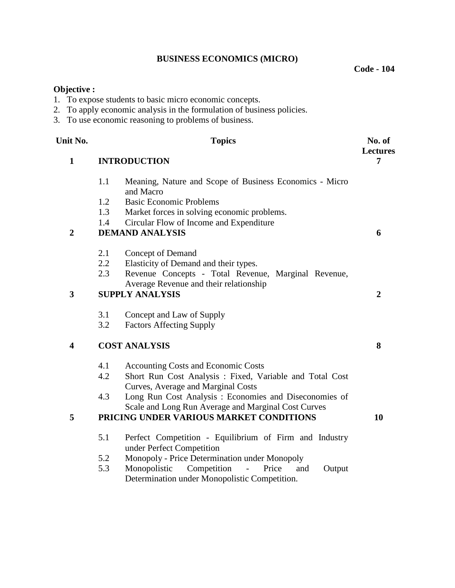### **BUSINESS ECONOMICS (MICRO)**

**Objective :** 

- 1. To expose students to basic micro economic concepts.
- 2. To apply economic analysis in the formulation of business policies.
- 3. To use economic reasoning to problems of business.

| Unit No.                | <b>Topics</b>                                                                                                        | No. of<br><b>Lectures</b> |
|-------------------------|----------------------------------------------------------------------------------------------------------------------|---------------------------|
| $\mathbf{1}$            | <b>INTRODUCTION</b>                                                                                                  |                           |
|                         | 1.1<br>Meaning, Nature and Scope of Business Economics - Micro<br>and Macro                                          |                           |
|                         | 1.2<br><b>Basic Economic Problems</b>                                                                                |                           |
|                         | 1.3<br>Market forces in solving economic problems.                                                                   |                           |
|                         | Circular Flow of Income and Expenditure<br>1.4                                                                       |                           |
| $\overline{2}$          | <b>DEMAND ANALYSIS</b>                                                                                               | 6                         |
|                         | 2.1<br>Concept of Demand                                                                                             |                           |
|                         | 2.2<br>Elasticity of Demand and their types.                                                                         |                           |
|                         | 2.3<br>Revenue Concepts - Total Revenue, Marginal Revenue,                                                           |                           |
|                         | Average Revenue and their relationship                                                                               |                           |
| 3                       | <b>SUPPLY ANALYSIS</b>                                                                                               | $\boldsymbol{2}$          |
|                         | 3.1<br>Concept and Law of Supply                                                                                     |                           |
|                         | 3.2<br><b>Factors Affecting Supply</b>                                                                               |                           |
| $\overline{\mathbf{4}}$ | <b>COST ANALYSIS</b>                                                                                                 | 8                         |
|                         | 4.1<br><b>Accounting Costs and Economic Costs</b>                                                                    |                           |
|                         | 4.2<br>Short Run Cost Analysis: Fixed, Variable and Total Cost<br>Curves, Average and Marginal Costs                 |                           |
|                         | Long Run Cost Analysis : Economies and Diseconomies of<br>4.3<br>Scale and Long Run Average and Marginal Cost Curves |                           |
| 5                       | PRICING UNDER VARIOUS MARKET CONDITIONS                                                                              | 10                        |
|                         | 5.1<br>Perfect Competition - Equilibrium of Firm and Industry                                                        |                           |
|                         | under Perfect Competition                                                                                            |                           |
|                         | Monopoly - Price Determination under Monopoly<br>5.2                                                                 |                           |
|                         | Competition<br>5.3<br>Monopolistic<br>Price<br>$\overline{a}$<br>and<br>Output                                       |                           |
|                         | Determination under Monopolistic Competition.                                                                        |                           |

**Code - 104**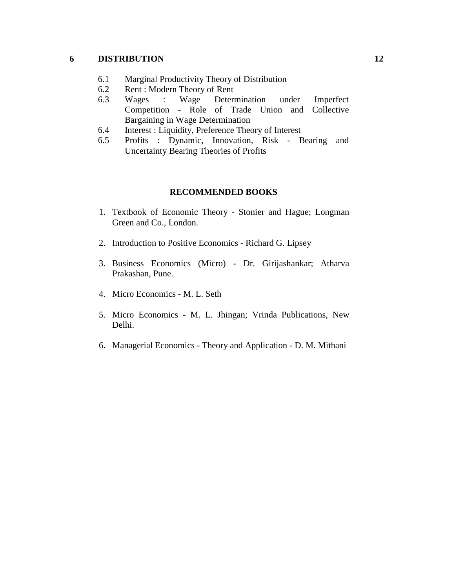### **6 DISTRIBUTION**

- 6.1 Marginal Productivity Theory of Distribution
- 6.2 Rent : Modern Theory of Rent
- 6.3 Wages : Wage Determination under Imperfect Competition - Role of Trade Union and Collective Bargaining in Wage Determination
- 6.4 Interest : Liquidity, Preference Theory of Interest
- 6.5 Profits : Dynamic, Innovation, Risk Bearing and Uncertainty Bearing Theories of Profits

### **RECOMMENDED BOOKS**

- 1. Textbook of Economic Theory Stonier and Hague; Longman Green and Co., London.
- 2. Introduction to Positive Economics Richard G. Lipsey
- 3. Business Economics (Micro) Dr. Girijashankar; Atharva Prakashan, Pune.
- 4. Micro Economics M. L. Seth
- 5. Micro Economics M. L. Jhingan; Vrinda Publications, New Delhi.
- 6. Managerial Economics Theory and Application D. M. Mithani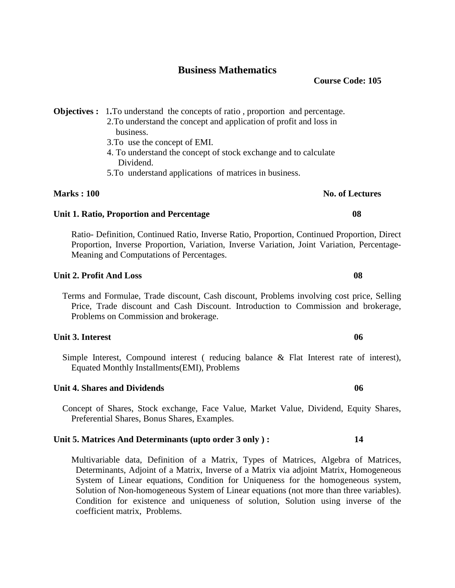### **Business Mathematics**

**Objectives :** 1**.**To understand the concepts of ratio , proportion and percentage.

- 2.To understand the concept and application of profit and loss in business.
- 3.To use the concept of EMI.
- 4. To understand the concept of stock exchange and to calculate Dividend.
- 5.To understand applications of matrices in business.

### **Marks : 100** No. of Lectures **No. of Lectures**

### **Unit 1. Ratio, Proportion and Percentage 08**

Ratio- Definition, Continued Ratio, Inverse Ratio, Proportion, Continued Proportion, Direct Proportion, Inverse Proportion, Variation, Inverse Variation, Joint Variation, Percentage-Meaning and Computations of Percentages.

### **Unit 2. Profit And Loss 08**

 Terms and Formulae, Trade discount, Cash discount, Problems involving cost price, Selling Price, Trade discount and Cash Discount. Introduction to Commission and brokerage, Problems on Commission and brokerage.

### **Unit 3. Interest 06**

 Simple Interest, Compound interest ( reducing balance & Flat Interest rate of interest), Equated Monthly Installments(EMI), Problems

### **Unit 4. Shares and Dividends 06**

 Concept of Shares, Stock exchange, Face Value, Market Value, Dividend, Equity Shares, Preferential Shares, Bonus Shares, Examples.

### **Unit 5. Matrices And Determinants (upto order 3 only ) : 14**

 Multivariable data, Definition of a Matrix, Types of Matrices, Algebra of Matrices, Determinants, Adjoint of a Matrix, Inverse of a Matrix via adjoint Matrix, Homogeneous System of Linear equations, Condition for Uniqueness for the homogeneous system, Solution of Non-homogeneous System of Linear equations (not more than three variables). Condition for existence and uniqueness of solution, Solution using inverse of the coefficient matrix, Problems.

**Course Code: 105**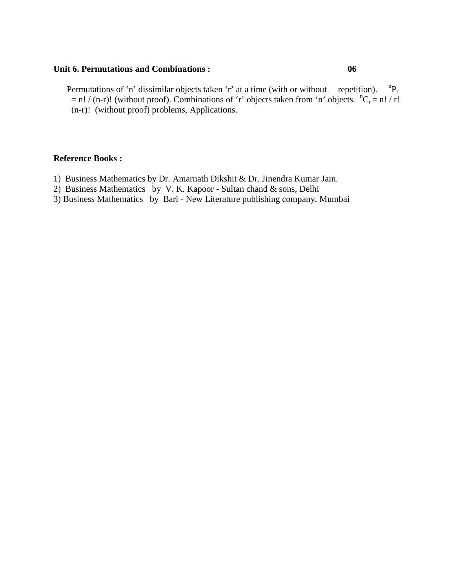### **Unit 6. Permutations and Combinations : 06**

Permutations of 'n' dissimilar objects taken 'r' at a time (with or without repetition).  ${}^nP_r$  $= n! / (n-r)!$  (without proof). Combinations of 'r' objects taken from 'n' objects.  ${}^{n}C_{r} = n! / r!$ (n-r)! (without proof) problems, Applications.

### **Reference Books :**

- 1) Business Mathematics by Dr. Amarnath Dikshit & Dr. Jinendra Kumar Jain.
- 2) Business Mathematics by V. K. Kapoor Sultan chand & sons, Delhi
- 3) Business Mathematics by Bari New Literature publishing company, Mumbai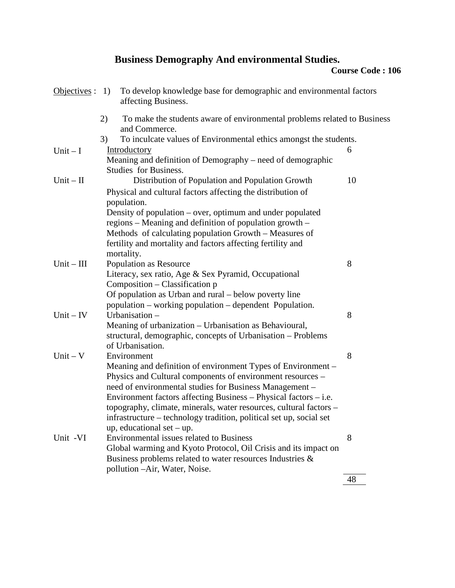# **Business Demography And environmental Studies.**

| Objectives : $1)$ |    | To develop knowledge base for demographic and environmental factors<br>affecting Business. |    |
|-------------------|----|--------------------------------------------------------------------------------------------|----|
|                   | 2) | To make the students aware of environmental problems related to Business<br>and Commerce.  |    |
|                   | 3) | To inculcate values of Environmental ethics amongst the students.                          |    |
| $Unit - I$        |    | Introductory                                                                               | 6  |
|                   |    | Meaning and definition of Demography – need of demographic<br>Studies for Business.        |    |
| $Unit - II$       |    | Distribution of Population and Population Growth                                           | 10 |
|                   |    | Physical and cultural factors affecting the distribution of<br>population.                 |    |
|                   |    | Density of population – over, optimum and under populated                                  |    |
|                   |    | regions – Meaning and definition of population growth –                                    |    |
|                   |    | Methods of calculating population Growth - Measures of                                     |    |
|                   |    | fertility and mortality and factors affecting fertility and                                |    |
|                   |    | mortality.                                                                                 |    |
| $Unit - III$      |    | Population as Resource                                                                     | 8  |
|                   |    | Literacy, sex ratio, Age & Sex Pyramid, Occupational<br>Composition – Classification p     |    |
|                   |    | Of population as Urban and rural – below poverty line                                      |    |
|                   |    | population – working population – dependent Population.                                    |    |
| $Unit - IV$       |    | Urbanisation -                                                                             | 8  |
|                   |    | Meaning of urbanization – Urbanisation as Behavioural,                                     |    |
|                   |    | structural, demographic, concepts of Urbanisation – Problems                               |    |
|                   |    | of Urbanisation.                                                                           |    |
| $Unit - V$        |    | Environment                                                                                | 8  |
|                   |    | Meaning and definition of environment Types of Environment –                               |    |
|                   |    | Physics and Cultural components of environment resources –                                 |    |
|                   |    | need of environmental studies for Business Management -                                    |    |
|                   |    | Environment factors affecting Business $-$ Physical factors $-$ i.e.                       |    |
|                   |    | topography, climate, minerals, water resources, cultural factors -                         |    |
|                   |    | infrastructure - technology tradition, political set up, social set                        |    |
|                   |    | up, educational set $-$ up.                                                                |    |
| Unit -VI          |    | Environmental issues related to Business                                                   | 8  |
|                   |    | Global warming and Kyoto Protocol, Oil Crisis and its impact on                            |    |
|                   |    | Business problems related to water resources Industries &                                  |    |
|                   |    | pollution - Air, Water, Noise.                                                             |    |
|                   |    |                                                                                            | 48 |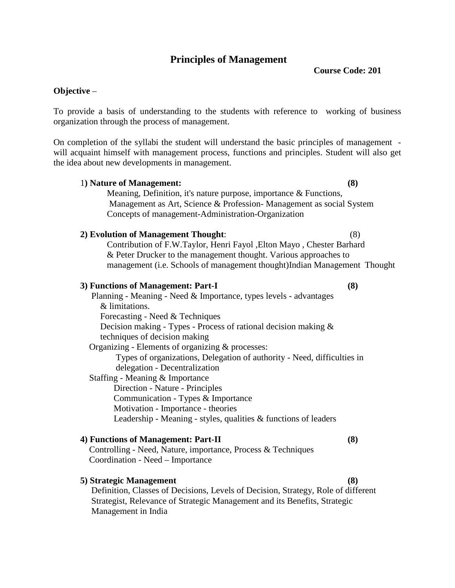### **Principles of Management**

**Course Code: 201** 

### **Objective** –

To provide a basis of understanding to the students with reference to working of business organization through the process of management.

On completion of the syllabi the student will understand the basic principles of management will acquaint himself with management process, functions and principles. Student will also get the idea about new developments in management.

 1**) Nature of Management: (8)** Meaning, Definition, it's nature purpose, importance & Functions, Management as Art, Science & Profession- Management as social System Concepts of management-Administration-Organization **2) Evolution of Management Thought**: (8) Contribution of F.W.Taylor, Henri Fayol ,Elton Mayo , Chester Barhard & Peter Drucker to the management thought. Various approaches to management (i.e. Schools of management thought)Indian Management Thought  **3) Functions of Management: Part-I (8)**  Planning - Meaning - Need & Importance, types levels - advantages & limitations. Forecasting - Need & Techniques Decision making - Types - Process of rational decision making & techniques of decision making Organizing - Elements of organizing & processes: Types of organizations, Delegation of authority - Need, difficulties in delegation - Decentralization Staffing - Meaning & Importance Direction - Nature - Principles Communication - Types & Importance Motivation - Importance - theories Leadership - Meaning - styles, qualities & functions of leaders **4) Functions of Management: Part-II (8)** 

 Controlling - Need, Nature, importance, Process & Techniques Coordination - Need – Importance

### **5) Strategic Management (8)**

Definition, Classes of Decisions, Levels of Decision, Strategy, Role of different Strategist, Relevance of Strategic Management and its Benefits, Strategic Management in India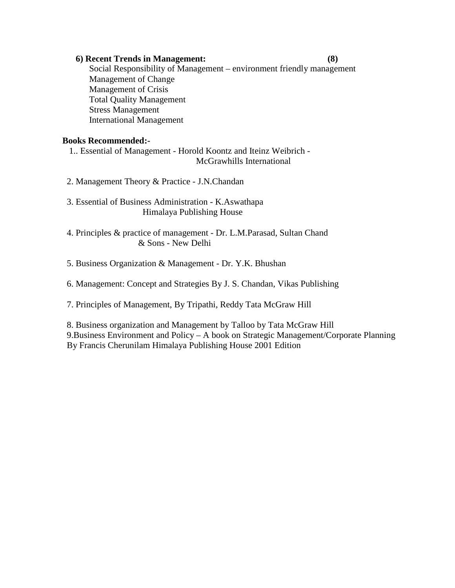### **6) Recent Trends in Management: (8)**

 Social Responsibility of Management – environment friendly management Management of Change Management of Crisis Total Quality Management Stress Management International Management

### **Books Recommended:-**

 1.. Essential of Management - Horold Koontz and Iteinz Weibrich - McGrawhills International

- 2. Management Theory & Practice J.N.Chandan
- 3. Essential of Business Administration K.Aswathapa Himalaya Publishing House
- 4. Principles & practice of management Dr. L.M.Parasad, Sultan Chand & Sons - New Delhi

5. Business Organization & Management - Dr. Y.K. Bhushan

6. Management: Concept and Strategies By J. S. Chandan, Vikas Publishing

7. Principles of Management, By Tripathi, Reddy Tata McGraw Hill

8. Business organization and Management by Talloo by Tata McGraw Hill 9.Business Environment and Policy – A book on Strategic Management/Corporate Planning By Francis Cherunilam Himalaya Publishing House 2001 Edition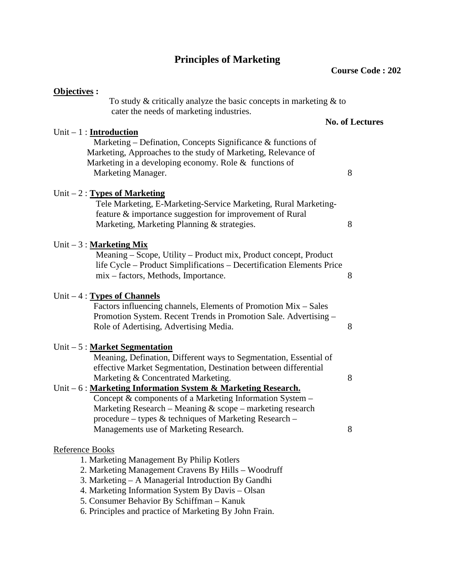# **Principles of Marketing**

| Objectives :                                                                                                                                                                                                                                                                                                                                                                                                                                                        |                        |
|---------------------------------------------------------------------------------------------------------------------------------------------------------------------------------------------------------------------------------------------------------------------------------------------------------------------------------------------------------------------------------------------------------------------------------------------------------------------|------------------------|
| To study $\&$ critically analyze the basic concepts in marketing $\&$ to                                                                                                                                                                                                                                                                                                                                                                                            |                        |
| cater the needs of marketing industries.                                                                                                                                                                                                                                                                                                                                                                                                                            |                        |
|                                                                                                                                                                                                                                                                                                                                                                                                                                                                     | <b>No. of Lectures</b> |
| Unit $-1$ : <b>Introduction</b><br>Marketing – Defination, Concepts Significance $\&$ functions of<br>Marketing, Approaches to the study of Marketing, Relevance of<br>Marketing in a developing economy. Role & functions of<br>Marketing Manager.                                                                                                                                                                                                                 | 8                      |
| Unit $-2$ : Types of Marketing<br>Tele Marketing, E-Marketing-Service Marketing, Rural Marketing-<br>feature & importance suggestion for improvement of Rural<br>Marketing, Marketing Planning & strategies.                                                                                                                                                                                                                                                        | 8                      |
| Unit $-3:$ <b>Marketing Mix</b><br>Meaning – Scope, Utility – Product mix, Product concept, Product<br>life Cycle – Product Simplifications – Decertification Elements Price<br>mix – factors, Methods, Importance.                                                                                                                                                                                                                                                 | 8                      |
| Unit $-4$ : Types of Channels<br>Factors influencing channels, Elements of Promotion Mix – Sales<br>Promotion System. Recent Trends in Promotion Sale. Advertising -<br>Role of Adertising, Advertising Media.                                                                                                                                                                                                                                                      | 8                      |
| Unit $-5:$ Market Segmentation<br>Meaning, Defination, Different ways to Segmentation, Essential of<br>effective Market Segmentation, Destination between differential<br>Marketing & Concentrated Marketing.<br>Unit – 6 : Marketing Information System & Marketing Research.<br>Concept & components of a Marketing Information System –<br>Marketing Research – Meaning $&$ scope – marketing research<br>procedure - types & techniques of Marketing Research - | 8                      |
| Managements use of Marketing Research.                                                                                                                                                                                                                                                                                                                                                                                                                              | 8                      |
| <b>Reference Books</b><br>1. Marketing Management By Philip Kotlers<br>2. Marketing Management Cravens By Hills – Woodruff<br>3. Marketing – A Managerial Introduction By Gandhi                                                                                                                                                                                                                                                                                    |                        |
| 4. Marketing Information System By Davis - Olsan<br>5. Consumer Behavior By Schiffman - Kanuk                                                                                                                                                                                                                                                                                                                                                                       |                        |

6. Principles and practice of Marketing By John Frain.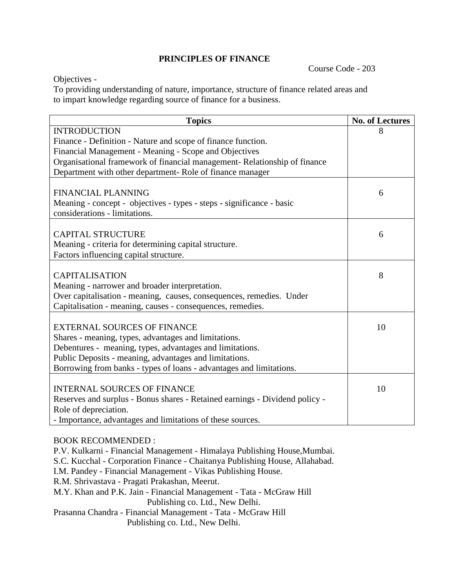### **PRINCIPLES OF FINANCE**

Course Code - 203

Objectives -

To providing understanding of nature, importance, structure of finance related areas and to impart knowledge regarding source of finance for a business.

| <b>Topics</b>                                                               | <b>No. of Lectures</b> |
|-----------------------------------------------------------------------------|------------------------|
| <b>INTRODUCTION</b>                                                         | 8                      |
| Finance - Definition - Nature and scope of finance function.                |                        |
| Financial Management - Meaning - Scope and Objectives                       |                        |
| Organisational framework of financial management- Relationship of finance   |                        |
| Department with other department-Role of finance manager                    |                        |
| <b>FINANCIAL PLANNING</b>                                                   | 6                      |
| Meaning - concept - objectives - types - steps - significance - basic       |                        |
| considerations - limitations.                                               |                        |
|                                                                             |                        |
| <b>CAPITAL STRUCTURE</b>                                                    | 6                      |
| Meaning - criteria for determining capital structure.                       |                        |
| Factors influencing capital structure.                                      |                        |
|                                                                             |                        |
| <b>CAPITALISATION</b>                                                       | 8                      |
| Meaning - narrower and broader interpretation.                              |                        |
| Over capitalisation - meaning, causes, consequences, remedies. Under        |                        |
| Capitalisation - meaning, causes - consequences, remedies.                  |                        |
| <b>EXTERNAL SOURCES OF FINANCE</b>                                          | 10                     |
| Shares - meaning, types, advantages and limitations.                        |                        |
| Debentures - meaning, types, advantages and limitations.                    |                        |
| Public Deposits - meaning, advantages and limitations.                      |                        |
| Borrowing from banks - types of loans - advantages and limitations.         |                        |
|                                                                             |                        |
| <b>INTERNAL SOURCES OF FINANCE</b>                                          | 10                     |
| Reserves and surplus - Bonus shares - Retained earnings - Dividend policy - |                        |
| Role of depreciation.                                                       |                        |
| - Importance, advantages and limitations of these sources.                  |                        |

### BOOK RECOMMENDED :

P.V. Kulkarni - Financial Management - Himalaya Publishing House,Mumbai. S.C. Kucchal - Corporation Finance - Chaitanya Publishing House, Allahabad. I.M. Pandey - Financial Management - Vikas Publishing House. R.M. Shrivastava - Pragati Prakashan, Meerut. M.Y. Khan and P.K. Jain - Financial Management - Tata - McGraw Hill Publishing co. Ltd., New Delhi. Prasanna Chandra - Financial Management - Tata - McGraw Hill Publishing co. Ltd., New Delhi.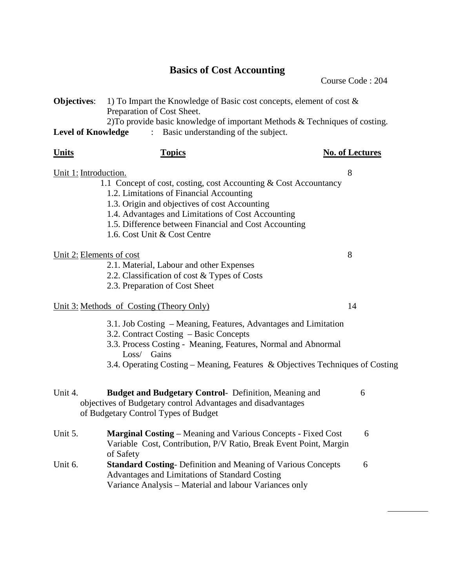# **Basics of Cost Accounting**

Course Code : 204

| <b>Objectives:</b><br>1) To Impart the Knowledge of Basic cost concepts, element of cost $\&$<br>Preparation of Cost Sheet.<br>2) To provide basic knowledge of important Methods & Techniques of costing.<br>Basic understanding of the subject.<br><b>Level of Knowledge</b><br>$\ddot{\cdot}$ |                                                                                                                                                                                                                                                                                                              |                        |  |  |
|--------------------------------------------------------------------------------------------------------------------------------------------------------------------------------------------------------------------------------------------------------------------------------------------------|--------------------------------------------------------------------------------------------------------------------------------------------------------------------------------------------------------------------------------------------------------------------------------------------------------------|------------------------|--|--|
| <u>Units</u>                                                                                                                                                                                                                                                                                     | <b>Topics</b>                                                                                                                                                                                                                                                                                                | <b>No. of Lectures</b> |  |  |
| Unit 1: Introduction.                                                                                                                                                                                                                                                                            | 1.1 Concept of cost, costing, cost Accounting & Cost Accountancy<br>1.2. Limitations of Financial Accounting<br>1.3. Origin and objectives of cost Accounting<br>1.4. Advantages and Limitations of Cost Accounting<br>1.5. Difference between Financial and Cost Accounting<br>1.6. Cost Unit & Cost Centre | 8                      |  |  |
| Unit 2: Elements of cost                                                                                                                                                                                                                                                                         | 2.1. Material, Labour and other Expenses<br>2.2. Classification of cost & Types of Costs<br>2.3. Preparation of Cost Sheet                                                                                                                                                                                   | 8                      |  |  |
|                                                                                                                                                                                                                                                                                                  | Unit 3: Methods of Costing (Theory Only)                                                                                                                                                                                                                                                                     | 14                     |  |  |
|                                                                                                                                                                                                                                                                                                  | 3.1. Job Costing – Meaning, Features, Advantages and Limitation<br>3.2. Contract Costing – Basic Concepts<br>3.3. Process Costing - Meaning, Features, Normal and Abnormal<br>Loss/ Gains<br>3.4. Operating Costing - Meaning, Features & Objectives Techniques of Costing                                   |                        |  |  |
| Unit 4.                                                                                                                                                                                                                                                                                          | <b>Budget and Budgetary Control-</b> Definition, Meaning and<br>objectives of Budgetary control Advantages and disadvantages<br>of Budgetary Control Types of Budget                                                                                                                                         | 6                      |  |  |
| Unit 5.                                                                                                                                                                                                                                                                                          | <b>Marginal Costing – Meaning and Various Concepts - Fixed Cost</b><br>Variable Cost, Contribution, P/V Ratio, Break Event Point, Margin<br>of Safety                                                                                                                                                        | 6                      |  |  |
| Unit 6.                                                                                                                                                                                                                                                                                          | <b>Standard Costing-</b> Definition and Meaning of Various Concepts<br>Advantages and Limitations of Standard Costing<br>Variance Analysis - Material and labour Variances only                                                                                                                              | 6                      |  |  |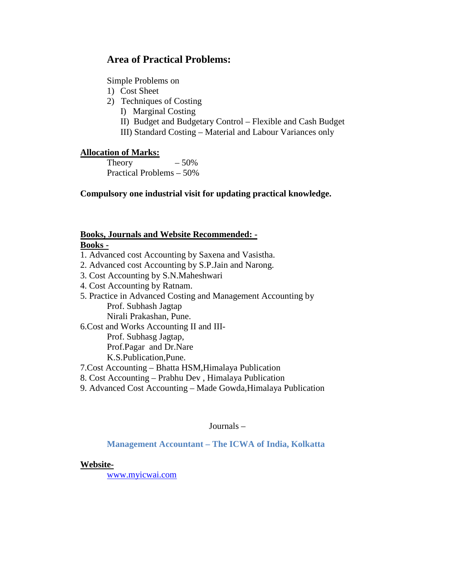### **Area of Practical Problems:**

Simple Problems on

- 1) Cost Sheet
- 2) Techniques of Costing
	- I) Marginal Costing
	- II) Budget and Budgetary Control Flexible and Cash Budget
	- III) Standard Costing Material and Labour Variances only

### **Allocation of Marks:**

Theory  $-50\%$ Practical Problems – 50%

**Compulsory one industrial visit for updating practical knowledge.** 

### **Books, Journals and Website Recommended: - Books -**

- 1. Advanced cost Accounting by Saxena and Vasistha.
- 2. Advanced cost Accounting by S.P.Jain and Narong.
- 3. Cost Accounting by S.N.Maheshwari
- 4. Cost Accounting by Ratnam.
- 5. Practice in Advanced Costing and Management Accounting by Prof. Subhash Jagtap Nirali Prakashan, Pune.

6.Cost and Works Accounting II and III-

Prof. Subhasg Jagtap,

Prof.Pagar and Dr.Nare

K.S.Publication,Pune.

7.Cost Accounting – Bhatta HSM,Himalaya Publication

- 8. Cost Accounting Prabhu Dev , Himalaya Publication
- 9. Advanced Cost Accounting Made Gowda,Himalaya Publication

Journals –

 **Management Accountant – The ICWA of India, Kolkatta** 

### **Website-**

www.myicwai.com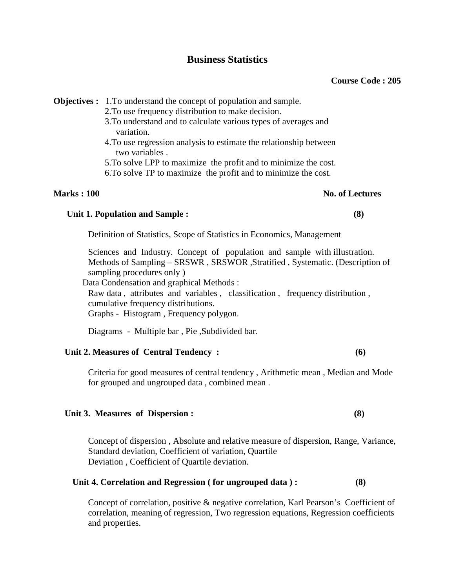### **Business Statistics**

**Objectives :** 1. To understand the concept of population and sample.

- 2.To use frequency distribution to make decision.
- 3.To understand and to calculate various types of averages and variation.
- 4.To use regression analysis to estimate the relationship between two variables .
- 5.To solve LPP to maximize the profit and to minimize the cost.
- 6.To solve TP to maximize the profit and to minimize the cost.

### **Marks : 100** No. of Lectures **No. of Lectures**

# Unit 1. Population and Sample : (8)

Definition of Statistics, Scope of Statistics in Economics, Management

Sciences and Industry. Concept of population and sample with illustration. Methods of Sampling – SRSWR , SRSWOR ,Stratified , Systematic. (Description of sampling procedures only )

Data Condensation and graphical Methods :

Raw data , attributes and variables , classification , frequency distribution , cumulative frequency distributions. Graphs - Histogram , Frequency polygon.

Diagrams - Multiple bar , Pie ,Subdivided bar.

### **Unit 2. Measures of Central Tendency : (6)**

Criteria for good measures of central tendency , Arithmetic mean , Median and Mode for grouped and ungrouped data , combined mean .

### **Unit 3. Measures of Dispersion : (8)**

Concept of dispersion , Absolute and relative measure of dispersion, Range, Variance, Standard deviation, Coefficient of variation, Quartile Deviation , Coefficient of Quartile deviation.

### **Unit 4. Correlation and Regression ( for ungrouped data ) : (8)**

Concept of correlation, positive & negative correlation, Karl Pearson's Coefficient of correlation, meaning of regression, Two regression equations, Regression coefficients and properties.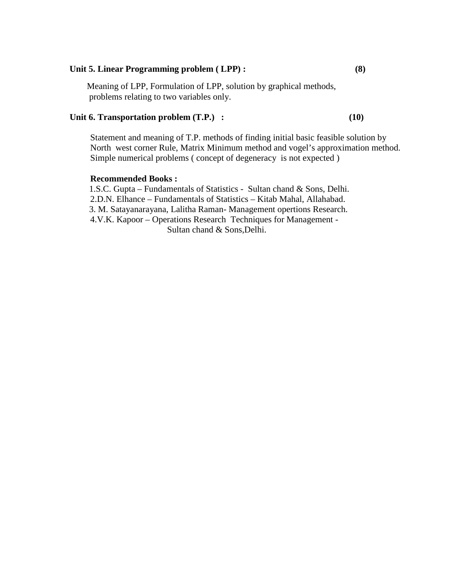### **Unit 5. Linear Programming problem ( LPP) : (8)**

 Meaning of LPP, Formulation of LPP, solution by graphical methods, problems relating to two variables only.

### Unit 6. Transportation problem (T.P.) : (10)

Statement and meaning of T.P. methods of finding initial basic feasible solution by North west corner Rule, Matrix Minimum method and vogel's approximation method. Simple numerical problems ( concept of degeneracy is not expected )

### **Recommended Books :**

 1.S.C. Gupta – Fundamentals of Statistics - Sultan chand & Sons, Delhi. 2.D.N. Elhance – Fundamentals of Statistics – Kitab Mahal, Allahabad. 3. M. Satayanarayana, Lalitha Raman- Management opertions Research. 4.V.K. Kapoor – Operations Research Techniques for Management - Sultan chand & Sons,Delhi.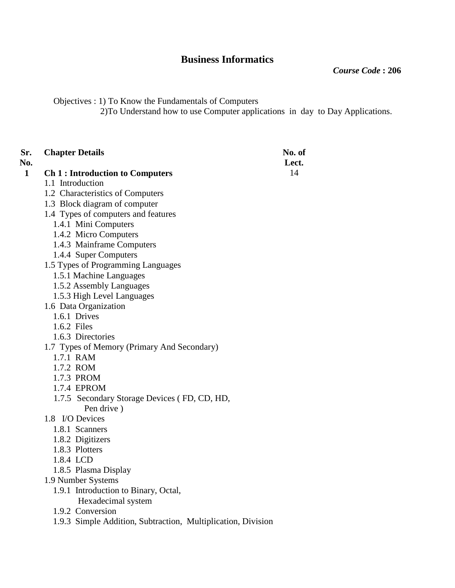## **Business Informatics**

*Course Code* **: 206** 

Objectives : 1) To Know the Fundamentals of Computers

2)To Understand how to use Computer applications in day to Day Applications.

| Sr.<br>No.   | <b>Chapter Details</b>                                       | No. of<br>Lect. |
|--------------|--------------------------------------------------------------|-----------------|
| $\mathbf{1}$ | <b>Ch 1: Introduction to Computers</b>                       | 14              |
|              | 1.1 Introduction                                             |                 |
|              | 1.2 Characteristics of Computers                             |                 |
|              | 1.3 Block diagram of computer                                |                 |
|              | 1.4 Types of computers and features                          |                 |
|              | 1.4.1 Mini Computers                                         |                 |
|              | 1.4.2 Micro Computers                                        |                 |
|              | 1.4.3 Mainframe Computers                                    |                 |
|              | 1.4.4 Super Computers                                        |                 |
|              | 1.5 Types of Programming Languages                           |                 |
|              | 1.5.1 Machine Languages                                      |                 |
|              | 1.5.2 Assembly Languages                                     |                 |
|              | 1.5.3 High Level Languages                                   |                 |
|              | 1.6 Data Organization                                        |                 |
|              | 1.6.1 Drives                                                 |                 |
|              | 1.6.2 Files                                                  |                 |
|              | 1.6.3 Directories                                            |                 |
|              | 1.7 Types of Memory (Primary And Secondary)                  |                 |
|              | 1.7.1 RAM                                                    |                 |
|              | 1.7.2 ROM                                                    |                 |
|              | 1.7.3 PROM                                                   |                 |
|              | 1.7.4 EPROM                                                  |                 |
|              | 1.7.5 Secondary Storage Devices (FD, CD, HD,<br>Pen drive)   |                 |
|              | 1.8 I/O Devices                                              |                 |
|              | 1.8.1 Scanners                                               |                 |
|              | 1.8.2 Digitizers                                             |                 |
|              | 1.8.3 Plotters                                               |                 |
|              | 1.8.4 LCD                                                    |                 |
|              | 1.8.5 Plasma Display                                         |                 |
|              | 1.9 Number Systems                                           |                 |
|              | 1.9.1 Introduction to Binary, Octal,                         |                 |
|              | Hexadecimal system                                           |                 |
|              | 1.9.2 Conversion                                             |                 |
|              | 1.9.3 Simple Addition, Subtraction, Multiplication, Division |                 |